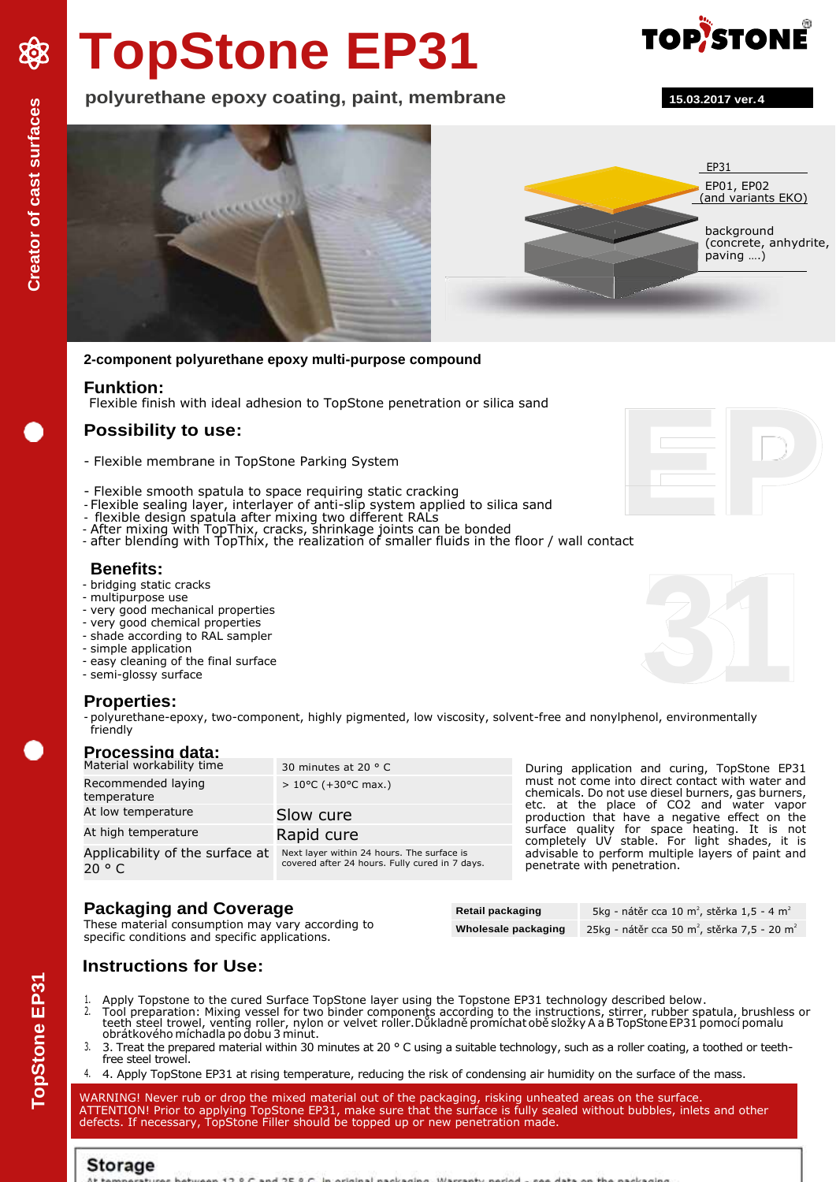# **TopStone EP31**





### **2-component polyurethane epoxy multi-purpose compound**

### **Funktion:**

Flexible finish with ideal adhesion to TopStone penetration or silica sand

### **Possibility to use:**

- Flexible membrane in TopStone Parking System
- Flexible smooth spatula to space requiring static cracking
- Flexible sealing layer, interlayer of anti-slip system applied to silica sand
- flexible design spatula after mixing two different RALs
- After mixing with TopThix, cracks, shrinkage joints can be bonded - after blending with TopThix, the realization of smaller fluids in the floor / wall contact

### **Benefits:**

- bridging static cracks
- multipurpose use
- very good mechanical properties
- very good chemical properties
- shade according to RAL sampler
- simple application
- easy cleaning of the final surface
- semi-glossy surface

### **Properties:**

- polyurethane-epoxy, two-component, highly pigmented, low viscosity, solvent-free and nonylphenol, environmentally friendly

| Processing data: |                           |
|------------------|---------------------------|
|                  | Material workability time |

| Material workability time                 | 30 minutes at 20 $\degree$ C                                                                 | During application and curing, TopStone EP31                                                                                                                                                        |  |
|-------------------------------------------|----------------------------------------------------------------------------------------------|-----------------------------------------------------------------------------------------------------------------------------------------------------------------------------------------------------|--|
| Recommended laying<br>temperature         | $> 10^{\circ}$ C (+30 $^{\circ}$ C max.)                                                     | must not come into direct contact with water and<br>chemicals. Do not use diesel burners, gas burners,<br>etc. at the place of CO2 and water vapor<br>production that have a negative effect on the |  |
| At low temperature                        | Slow cure                                                                                    |                                                                                                                                                                                                     |  |
| At high temperature                       | Rapid cure                                                                                   | surface quality for space heating. It is not<br>completely UV stable. For light shades, it is                                                                                                       |  |
| Applicability of the surface at<br>20 ° C | Next layer within 24 hours. The surface is<br>covered after 24 hours. Fully cured in 7 days. | advisable to perform multiple layers of paint and<br>penetrate with penetration.                                                                                                                    |  |

### **Packaging and Coverage**

| Packaging and Coverage                                                                             | Retail packaging    | 5kg - nátěr cca 10 m <sup>2</sup> , stěrka 1,5 - 4 m <sup>2</sup>   |
|----------------------------------------------------------------------------------------------------|---------------------|---------------------------------------------------------------------|
| These material consumption may vary according to<br>specific conditions and specific applications. | Wholesale packaging | 25kg - nátěr cca 50 m <sup>2</sup> , stěrka 7,5 - 20 m <sup>2</sup> |
|                                                                                                    |                     |                                                                     |

## **Instructions for Use:**

- 1. Apply Topstone to the cured Surface TopStone layer using the Topstone EP31 technology described below.
- 2. Tool preparation: Mixing vessel for two binder components according to the instructions, stirrer, rubber spatula, brushless or teeth steel trowel, venting roller, nylon or velvet roller.Důkladně promíchat obě složky A a B TopStone EP31 pomocí pomalu<br>obrátkového míchadla po dobu 3 minut.
- 3. 3. Treat the prepared material within 30 minutes at 20 ° C using a suitable technology, such as a roller coating, a toothed or teethfree steel trowel.
- 4. 4. Apply TopStone EP31 at rising temperature, reducing the risk of condensing air humidity on the surface of the mass.

WARNING! Never rub or drop the mixed material out of the packaging, risking unheated areas on the surface. ATTENTION! Prior to applying TopStone EP31, make sure that the surface is fully sealed without bubbles, inlets and other defects. If necessary, TopStone Filler should be topped up or new penetration made.









XXX

# **TopStone EP31 Creator of cast surfaces TopStone EP3**